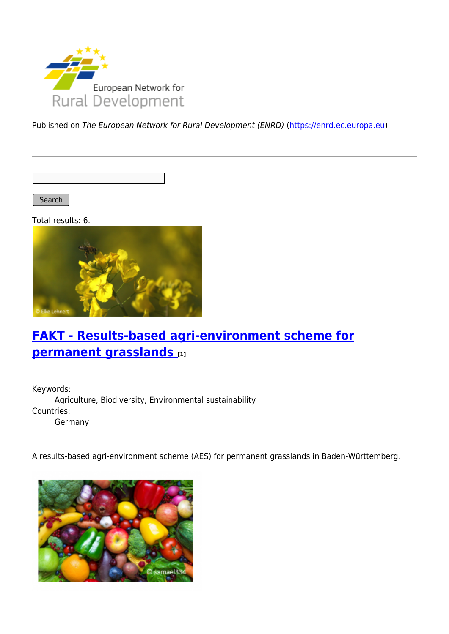

Published on The European Network for Rural Development (ENRD) [\(https://enrd.ec.europa.eu](https://enrd.ec.europa.eu))

Search |

Total results: 6.



### **[FAKT - Results-based agri-environment scheme for](https://enrd.ec.europa.eu/projects-practice/fakt-results-based-agri-environment-scheme-permanent-grasslands_en) [permanent grasslands](https://enrd.ec.europa.eu/projects-practice/fakt-results-based-agri-environment-scheme-permanent-grasslands_en) [1]**

Keywords: Agriculture, Biodiversity, Environmental sustainability Countries: Germany

A results-based agri-environment scheme (AES) for permanent grasslands in Baden-Württemberg.

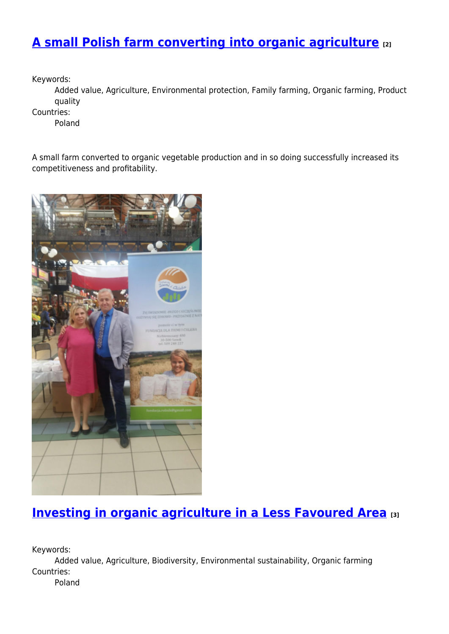# **[A small Polish farm converting into organic agriculture](https://enrd.ec.europa.eu/projects-practice/small-polish-farm-converting-organic-agriculture_en) [2]**

Keywords:

Added value, Agriculture, Environmental protection, Family farming, Organic farming, Product quality

Countries:

Poland

A small farm converted to organic vegetable production and in so doing successfully increased its competitiveness and profitability.



## **[Investing in organic agriculture in a Less Favoured Area](https://enrd.ec.europa.eu/projects-practice/investing-organic-agriculture-less-favoured-area_en) [3]**

Keywords:

Added value, Agriculture, Biodiversity, Environmental sustainability, Organic farming Countries:

Poland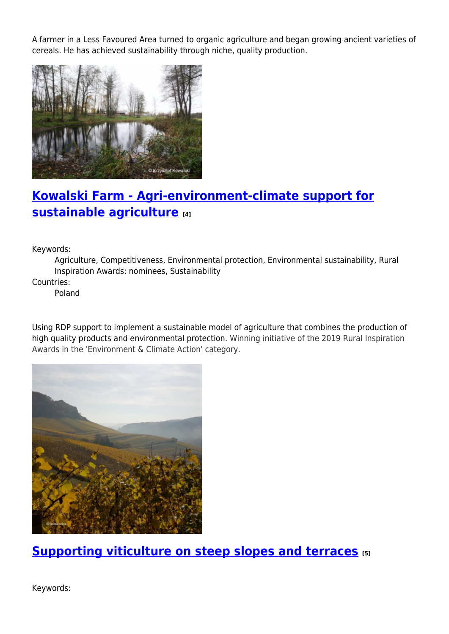A farmer in a Less Favoured Area turned to organic agriculture and began growing ancient varieties of cereals. He has achieved sustainability through niche, quality production.



# **[Kowalski Farm - Agri-environment-climate support for](https://enrd.ec.europa.eu/projects-practice/kowalski-farm-agri-environment-climate-support-sustainable-agriculture_en) [sustainable agriculture](https://enrd.ec.europa.eu/projects-practice/kowalski-farm-agri-environment-climate-support-sustainable-agriculture_en) [4]**

Keywords:

Agriculture, Competitiveness, Environmental protection, Environmental sustainability, Rural Inspiration Awards: nominees, Sustainability

Countries:

Poland

Using RDP support to implement a sustainable model of agriculture that combines the production of high quality products and environmental protection. Winning initiative of the 2019 Rural Inspiration Awards in the 'Environment & Climate Action' category.



**[Supporting viticulture on steep slopes and terraces](https://enrd.ec.europa.eu/projects-practice/supporting-viticulture-steep-slopes-and-terraces_en) [5]**

Keywords: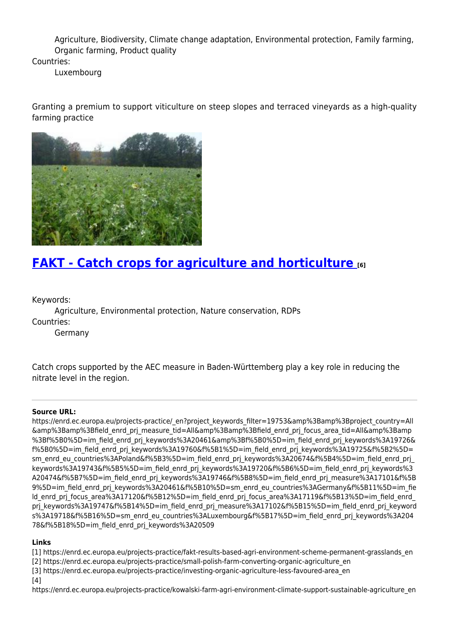Agriculture, Biodiversity, Climate change adaptation, Environmental protection, Family farming, Organic farming, Product quality

Countries:

Luxembourg

Granting a premium to support viticulture on steep slopes and terraced vineyards as a high-quality farming practice



#### **[FAKT - Catch crops for agriculture and horticulture](https://enrd.ec.europa.eu/projects-practice/fakt-catch-crops-agriculture-and-horticulture_en) [6]**

Keywords:

Agriculture, Environmental protection, Nature conservation, RDPs Countries:

Germany

Catch crops supported by the AEC measure in Baden-Württemberg play a key role in reducing the nitrate level in the region.

#### **Source URL:**

https://enrd.ec.europa.eu/projects-practice/\_en?project\_keywords\_filter=19753&amp%3Bamp%3Bproject\_country=All &amp%3Bamp%3Bfield\_enrd\_prj\_measure\_tid=All&amp%3Bamp%3Bfield\_enrd\_prj\_focus\_area\_tid=All&amp%3Bamp %3Bf%5B0%5D=im\_field\_enrd\_prj\_keywords%3A20461&amp%3Bf%5B0%5D=im\_field\_enrd\_prj\_keywords%3A19726& f%5B0%5D=im\_field\_enrd\_prj\_keywords%3A19760&f%5B1%5D=im\_field\_enrd\_prj\_keywords%3A19725&f%5B2%5D= sm\_enrd\_eu\_countries%3APoland&f%5B3%5D=im\_field\_enrd\_prj\_keywords%3A20674&f%5B4%5D=im\_field\_enrd\_prj keywords%3A19743&f%5B5%5D=im\_field\_enrd\_prj\_keywords%3A19720&f%5B6%5D=im\_field\_enrd\_prj\_keywords%3 A20474&f%5B7%5D=im\_field\_enrd\_prj\_keywords%3A19746&f%5B8%5D=im\_field\_enrd\_prj\_measure%3A17101&f%5B 9%5D=im\_field\_enrd\_prj\_keywords%3A20461&f%5B10%5D=sm\_enrd\_eu\_countries%3AGermany&f%5B11%5D=im\_fie ld\_enrd\_prj\_focus\_area%3A17120&f%5B12%5D=im\_field\_enrd\_prj\_focus\_area%3A17119&f%5B13%5D=im\_field\_enrd prj keywords%3A19747&f%5B14%5D=im\_field\_enrd\_prj\_measure%3A17102&f%5B15%5D=im\_field\_enrd\_prj\_keyword s%3A19718&f%5B16%5D=sm\_enrd\_eu\_countries%3ALuxembourg&f%5B17%5D=im\_field\_enrd\_prj\_keywords%3A204 78&f%5B18%5D=im\_field\_enrd\_prj\_keywords%3A20509

#### **Links**

[1] https://enrd.ec.europa.eu/projects-practice/fakt-results-based-agri-environment-scheme-permanent-grasslands\_en

[2] https://enrd.ec.europa.eu/projects-practice/small-polish-farm-converting-organic-agriculture\_en

[3] https://enrd.ec.europa.eu/projects-practice/investing-organic-agriculture-less-favoured-area\_en

[4]

https://enrd.ec.europa.eu/projects-practice/kowalski-farm-agri-environment-climate-support-sustainable-agriculture\_en